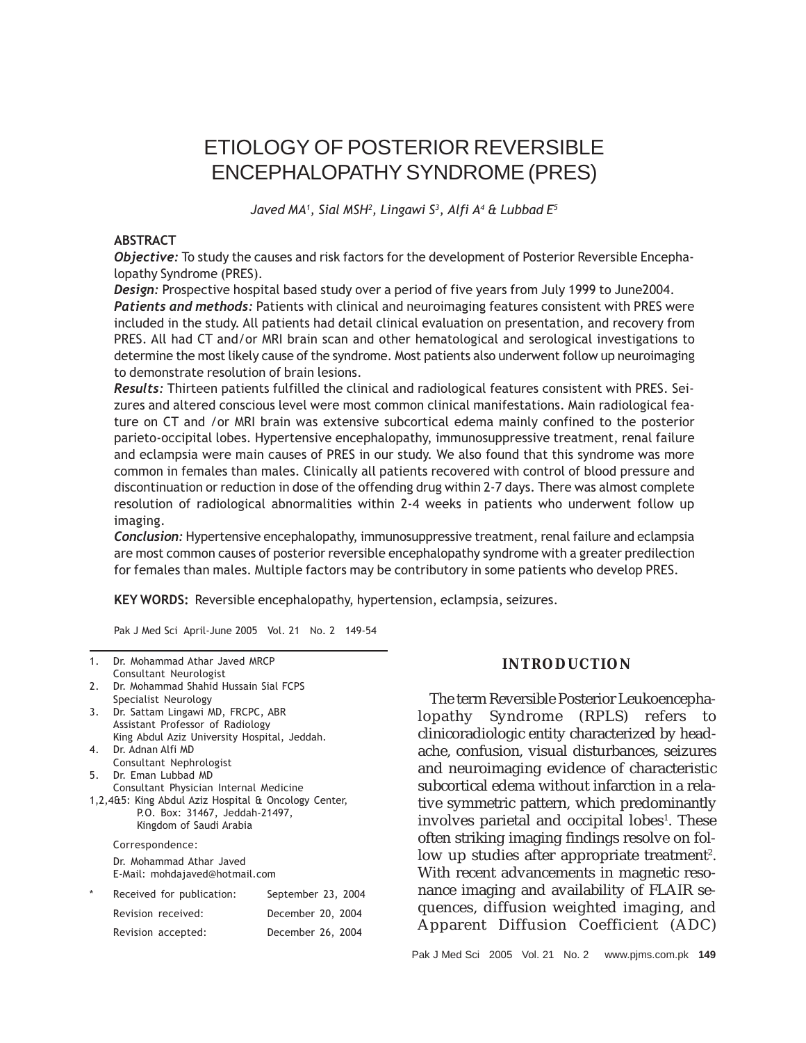# ETIOLOGY OF POSTERIOR REVERSIBLE ENCEPHALOPATHY SYNDROME (PRES)

Javed MA<sup>1</sup>, Sial MSH<sup>2</sup>, Lingawi S<sup>3</sup>, Alfi A<sup>4</sup> & Lubbad E<sup>5</sup>

## **ABSTRACT**

Objective: To study the causes and risk factors for the development of Posterior Reversible Encephalopathy Syndrome (PRES).

Design: Prospective hospital based study over a period of five years from July 1999 to June2004. Patients and methods: Patients with clinical and neuroimaging features consistent with PRES were included in the study. All patients had detail clinical evaluation on presentation, and recovery from PRES. All had CT and/or MRI brain scan and other hematological and serological investigations to determine the most likely cause of the syndrome. Most patients also underwent follow up neuroimaging to demonstrate resolution of brain lesions.

Results: Thirteen patients fulfilled the clinical and radiological features consistent with PRES. Seizures and altered conscious level were most common clinical manifestations. Main radiological feature on CT and /or MRI brain was extensive subcortical edema mainly confined to the posterior parieto-occipital lobes. Hypertensive encephalopathy, immunosuppressive treatment, renal failure and eclampsia were main causes of PRES in our study. We also found that this syndrome was more common in females than males. Clinically all patients recovered with control of blood pressure and discontinuation or reduction in dose of the offending drug within 2-7 days. There was almost complete resolution of radiological abnormalities within 2-4 weeks in patients who underwent follow up imaging.

Conclusion: Hypertensive encephalopathy, immunosuppressive treatment, renal failure and eclampsia are most common causes of posterior reversible encephalopathy syndrome with a greater predilection for females than males. Multiple factors may be contributory in some patients who develop PRES.

KEY WORDS: Reversible encephalopathy, hypertension, eclampsia, seizures.

Pak J Med Sci April-June 2005 Vol. 21 No. 2 149-54

| 1.                                                                                                                                                          | Dr. Mohammad Athar Javed MRCP<br>Consultant Neurologist                                                                                       |                    |
|-------------------------------------------------------------------------------------------------------------------------------------------------------------|-----------------------------------------------------------------------------------------------------------------------------------------------|--------------------|
| 2.                                                                                                                                                          | Dr. Mohammad Shahid Hussain Sial FCPS                                                                                                         |                    |
| 3.                                                                                                                                                          | Specialist Neurology<br>Dr. Sattam Lingawi MD, FRCPC, ABR<br>Assistant Professor of Radiology<br>King Abdul Aziz University Hospital, Jeddah. |                    |
| 4.                                                                                                                                                          | Dr. Adnan Alfi MD                                                                                                                             |                    |
|                                                                                                                                                             | Consultant Nephrologist                                                                                                                       |                    |
|                                                                                                                                                             | 5. Dr. Eman Lubbad MD                                                                                                                         |                    |
| Consultant Physician Internal Medicine<br>1,2,4&5: King Abdul Aziz Hospital & Oncology Center,<br>P.O. Box: 31467, Jeddah-21497,<br>Kingdom of Saudi Arabia |                                                                                                                                               |                    |
|                                                                                                                                                             | Correspondence:                                                                                                                               |                    |
|                                                                                                                                                             | Dr. Mohammad Athar Javed<br>E-Mail: mohdajaved@hotmail.com                                                                                    |                    |
|                                                                                                                                                             | Received for publication:                                                                                                                     | September 23, 2004 |
|                                                                                                                                                             | Revision received:                                                                                                                            | December 20, 2004  |
|                                                                                                                                                             | Revision accepted:                                                                                                                            | December 26, 2004  |

# **INTRODUCTION**

The term Reversible Posterior Leukoencephalopathy Syndrome (RPLS) refers to clinicoradiologic entity characterized by headache, confusion, visual disturbances, seizures and neuroimaging evidence of characteristic subcortical edema without infarction in a relative symmetric pattern, which predominantly involves parietal and occipital lobes<sup>1</sup>. These often striking imaging findings resolve on follow up studies after appropriate treatment<sup>2</sup>. With recent advancements in magnetic resonance imaging and availability of FLAIR sequences, diffusion weighted imaging, and Apparent Diffusion Coefficient (ADC)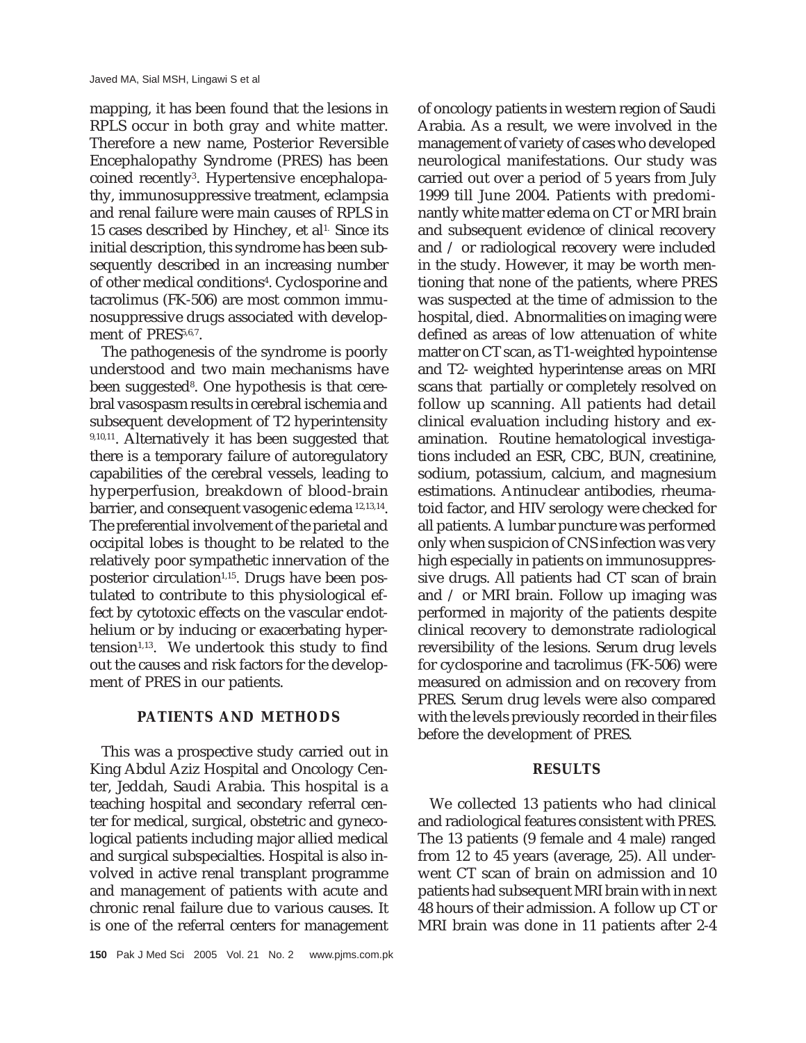mapping, it has been found that the lesions in RPLS occur in both gray and white matter. Therefore a new name, Posterior Reversible Encephalopathy Syndrome (PRES) has been coined recently<sup>3</sup>. Hypertensive encephalopathy, immunosuppressive treatment, eclampsia and renal failure were main causes of RPLS in 15 cases described by Hinchey, et al<sup>1.</sup> Since its initial description, this syndrome has been subsequently described in an increasing number of other medical conditions<sup>4</sup>. Cyclosporine and tacrolimus (FK-506) are most common immunosuppressive drugs associated with development of PRES<sup>5,6,7</sup>.

The pathogenesis of the syndrome is poorly understood and two main mechanisms have been suggested<sup>8</sup>. One hypothesis is that cerebral vasospasm results in cerebral ischemia and subsequent development of T2 hyperintensity 9,10,11. Alternatively it has been suggested that there is a temporary failure of autoregulatory capabilities of the cerebral vessels, leading to hyperperfusion, breakdown of blood-brain barrier, and consequent vasogenic edema 12,13,14. The preferential involvement of the parietal and occipital lobes is thought to be related to the relatively poor sympathetic innervation of the posterior circulation<sup>1,15</sup>. Drugs have been postulated to contribute to this physiological effect by cytotoxic effects on the vascular endothelium or by inducing or exacerbating hyper $tension<sup>1,13</sup>$ . We undertook this study to find out the causes and risk factors for the development of PRES in our patients.

# **PATIENTS AND METHODS**

This was a prospective study carried out in King Abdul Aziz Hospital and Oncology Center, Jeddah, Saudi Arabia. This hospital is a teaching hospital and secondary referral center for medical, surgical, obstetric and gynecological patients including major allied medical and surgical subspecialties. Hospital is also involved in active renal transplant programme and management of patients with acute and chronic renal failure due to various causes. It is one of the referral centers for management

of oncology patients in western region of Saudi Arabia. As a result, we were involved in the management of variety of cases who developed neurological manifestations. Our study was carried out over a period of 5 years from July 1999 till June 2004. Patients with predominantly white matter edema on CT or MRI brain and subsequent evidence of clinical recovery and / or radiological recovery were included in the study. However, it may be worth mentioning that none of the patients, where PRES was suspected at the time of admission to the hospital, died. Abnormalities on imaging were defined as areas of low attenuation of white matter on CT scan, as T1-weighted hypointense and T2- weighted hyperintense areas on MRI scans that partially or completely resolved on follow up scanning. All patients had detail clinical evaluation including history and examination. Routine hematological investigations included an ESR, CBC, BUN, creatinine, sodium, potassium, calcium, and magnesium estimations. Antinuclear antibodies, rheumatoid factor, and HIV serology were checked for all patients. A lumbar puncture was performed only when suspicion of CNS infection was very high especially in patients on immunosuppressive drugs. All patients had CT scan of brain and / or MRI brain. Follow up imaging was performed in majority of the patients despite clinical recovery to demonstrate radiological reversibility of the lesions. Serum drug levels for cyclosporine and tacrolimus (FK-506) were measured on admission and on recovery from PRES. Serum drug levels were also compared with the levels previously recorded in their files before the development of PRES.

# **RESULTS**

We collected 13 patients who had clinical and radiological features consistent with PRES. The 13 patients (9 female and 4 male) ranged from 12 to 45 years (average, 25). All underwent CT scan of brain on admission and 10 patients had subsequent MRI brain with in next 48 hours of their admission. A follow up CT or MRI brain was done in 11 patients after 2-4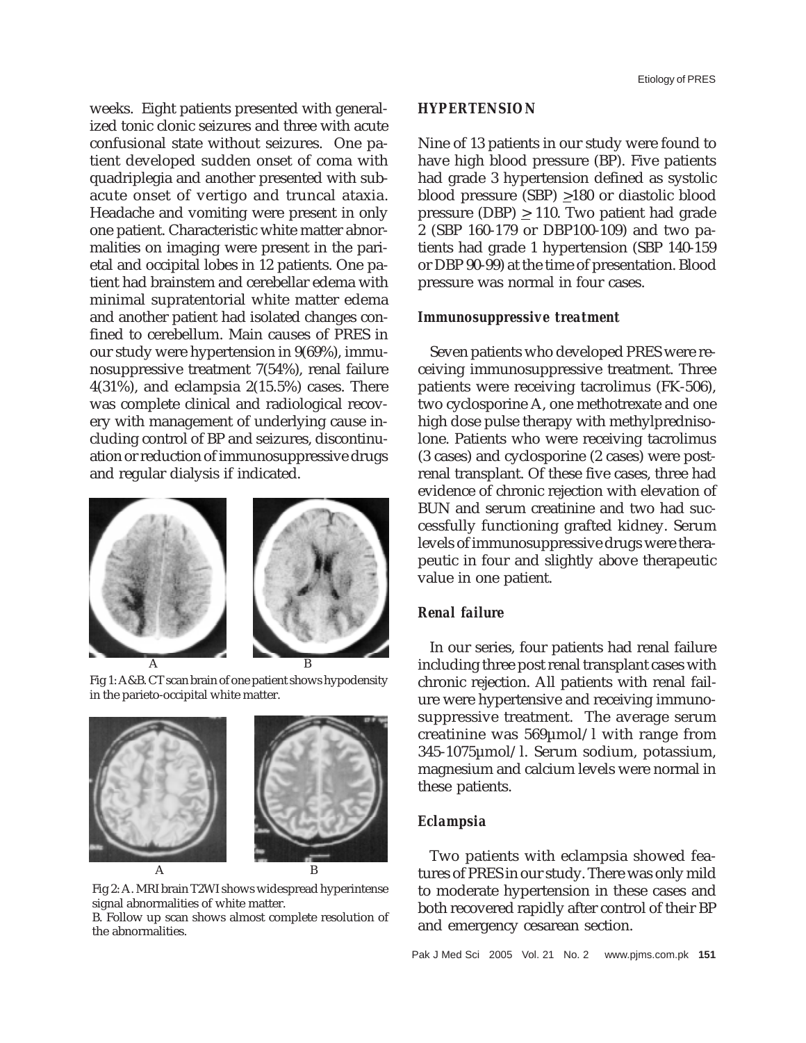weeks. Eight patients presented with generalized tonic clonic seizures and three with acute confusional state without seizures. One patient developed sudden onset of coma with quadriplegia and another presented with subacute onset of vertigo and truncal ataxia. Headache and vomiting were present in only one patient. Characteristic white matter abnormalities on imaging were present in the parietal and occipital lobes in 12 patients. One patient had brainstem and cerebellar edema with minimal supratentorial white matter edema and another patient had isolated changes confined to cerebellum. Main causes of PRES in our study were hypertension in 9(69%), immunosuppressive treatment 7(54%), renal failure 4(31%), and eclampsia 2(15.5%) cases. There was complete clinical and radiological recovery with management of underlying cause including control of BP and seizures, discontinuation or reduction of immunosuppressive drugs and regular dialysis if indicated.







Fig 2: A. MRI brain T2WI shows widespread hyperintense signal abnormalities of white matter.

B. Follow up scan shows almost complete resolution of the abnormalities.

#### *HYPERTENSION*

Nine of 13 patients in our study were found to have high blood pressure (BP). Five patients had grade 3 hypertension defined as systolic blood pressure (SBP)  $\geq$ 180 or diastolic blood pressure (DBP)  $\geq$  110. Two patient had grade 2 (SBP 160-179 or DBP100-109) and two patients had grade 1 hypertension (SBP 140-159 or DBP 90-99) at the time of presentation. Blood pressure was normal in four cases.

#### *Immunosuppressive treatment*

Seven patients who developed PRES were receiving immunosuppressive treatment. Three patients were receiving tacrolimus (FK-506), two cyclosporine A, one methotrexate and one high dose pulse therapy with methylprednisolone. Patients who were receiving tacrolimus (3 cases) and cyclosporine (2 cases) were postrenal transplant. Of these five cases, three had evidence of chronic rejection with elevation of BUN and serum creatinine and two had successfully functioning grafted kidney. Serum levels of immunosuppressive drugs were therapeutic in four and slightly above therapeutic value in one patient.

## *Renal failure*

In our series, four patients had renal failure including three post renal transplant cases with chronic rejection. All patients with renal failure were hypertensive and receiving immunosuppressive treatment. The average serum creatinine was 569µmol/l with range from 345-1075µmol/l. Serum sodium, potassium, magnesium and calcium levels were normal in these patients.

#### *Eclampsia*

Two patients with eclampsia showed features of PRES in our study. There was only mild to moderate hypertension in these cases and both recovered rapidly after control of their BP and emergency cesarean section.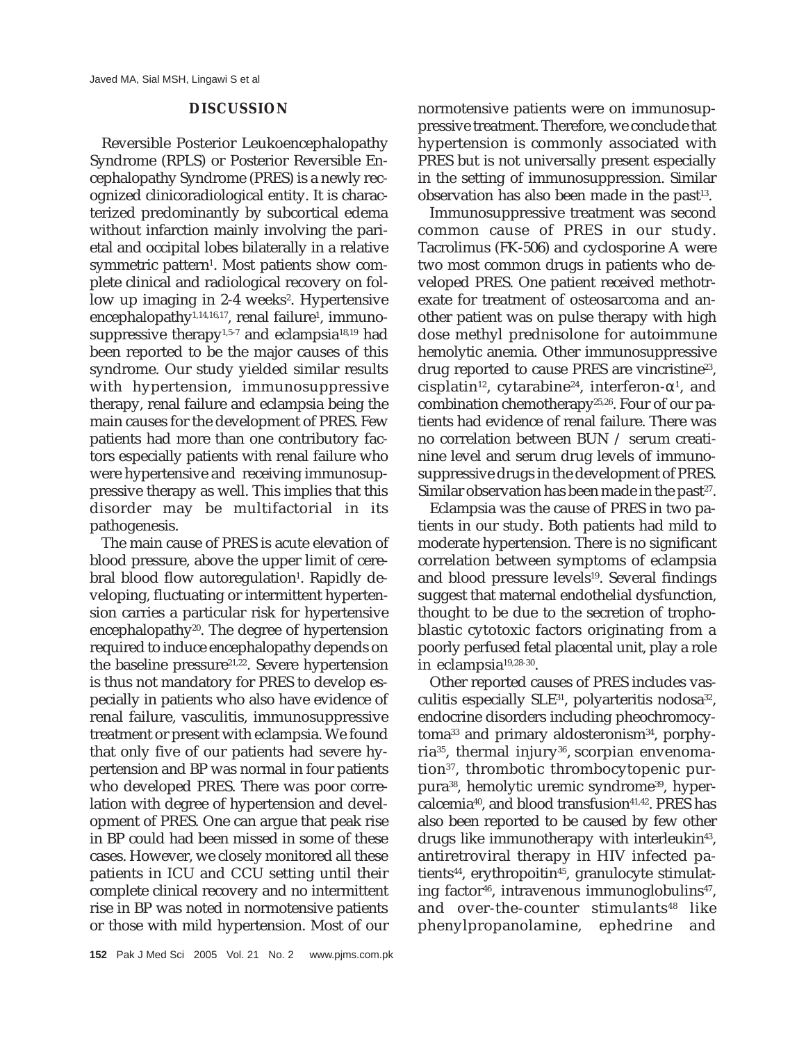# **DISCUSSION**

Reversible Posterior Leukoencephalopathy Syndrome (RPLS) or Posterior Reversible Encephalopathy Syndrome (PRES) is a newly recognized clinicoradiological entity. It is characterized predominantly by subcortical edema without infarction mainly involving the parietal and occipital lobes bilaterally in a relative symmetric pattern<sup>1</sup>. Most patients show complete clinical and radiological recovery on follow up imaging in 2-4 weeks<sup>2</sup>. Hypertensive encephalopathy1,14,16,17, renal failure<sup>1</sup>, immunosuppressive therapy<sup>1,5-7</sup> and eclampsia<sup>18,19</sup> had been reported to be the major causes of this syndrome. Our study yielded similar results with hypertension, immunosuppressive therapy, renal failure and eclampsia being the main causes for the development of PRES. Few patients had more than one contributory factors especially patients with renal failure who were hypertensive and receiving immunosuppressive therapy as well. This implies that this disorder may be multifactorial in its pathogenesis.

The main cause of PRES is acute elevation of blood pressure, above the upper limit of cerebral blood flow autoregulation<sup>1</sup>. Rapidly developing, fluctuating or intermittent hypertension carries a particular risk for hypertensive encephalopathy $20$ . The degree of hypertension required to induce encephalopathy depends on the baseline pressure<sup>21,22</sup>. Severe hypertension is thus not mandatory for PRES to develop especially in patients who also have evidence of renal failure, vasculitis, immunosuppressive treatment or present with eclampsia. We found that only five of our patients had severe hypertension and BP was normal in four patients who developed PRES. There was poor correlation with degree of hypertension and development of PRES. One can argue that peak rise in BP could had been missed in some of these cases. However, we closely monitored all these patients in ICU and CCU setting until their complete clinical recovery and no intermittent rise in BP was noted in normotensive patients or those with mild hypertension. Most of our

normotensive patients were on immunosuppressive treatment. Therefore, we conclude that hypertension is commonly associated with PRES but is not universally present especially in the setting of immunosuppression. Similar observation has also been made in the past $13$ .

Immunosuppressive treatment was second common cause of PRES in our study. Tacrolimus (FK-506) and cyclosporine A were two most common drugs in patients who developed PRES. One patient received methotrexate for treatment of osteosarcoma and another patient was on pulse therapy with high dose methyl prednisolone for autoimmune hemolytic anemia. Other immunosuppressive drug reported to cause PRES are vincristine<sup>23</sup>, cisplatin $^{12}$ , cytarabine $^{24}$ , interferon- $\alpha^1$ , and combination chemotherapy25,26. Four of our patients had evidence of renal failure. There was no correlation between BUN / serum creatinine level and serum drug levels of immunosuppressive drugs in the development of PRES. Similar observation has been made in the past $27$ .

Eclampsia was the cause of PRES in two patients in our study. Both patients had mild to moderate hypertension. There is no significant correlation between symptoms of eclampsia and blood pressure levels<sup>19</sup>. Several findings suggest that maternal endothelial dysfunction, thought to be due to the secretion of trophoblastic cytotoxic factors originating from a poorly perfused fetal placental unit, play a role in eclampsia19,28-30.

Other reported causes of PRES includes vasculitis especially  $SLE^{31}$ , polyarteritis nodosa<sup>32</sup>, endocrine disorders including pheochromocytoma<sup>33</sup> and primary aldosteronism<sup>34</sup>, porphyria<sup>35</sup>, thermal injury<sup>36</sup>, scorpian envenomation<sup>37</sup>, thrombotic thrombocytopenic purpura<sup>38</sup>, hemolytic uremic syndrome<sup>39</sup>, hypercalcemia<sup>40</sup>, and blood transfusion<sup>41,42</sup>. PRES has also been reported to be caused by few other drugs like immunotherapy with interleukin<sup>43</sup>, antiretroviral therapy in HIV infected patients<sup>44</sup>, erythropoitin<sup>45</sup>, granulocyte stimulating factor<sup>46</sup>, intravenous immunoglobulins<sup>47</sup>, and over-the-counter stimulants<sup>48</sup> like phenylpropanolamine, ephedrine and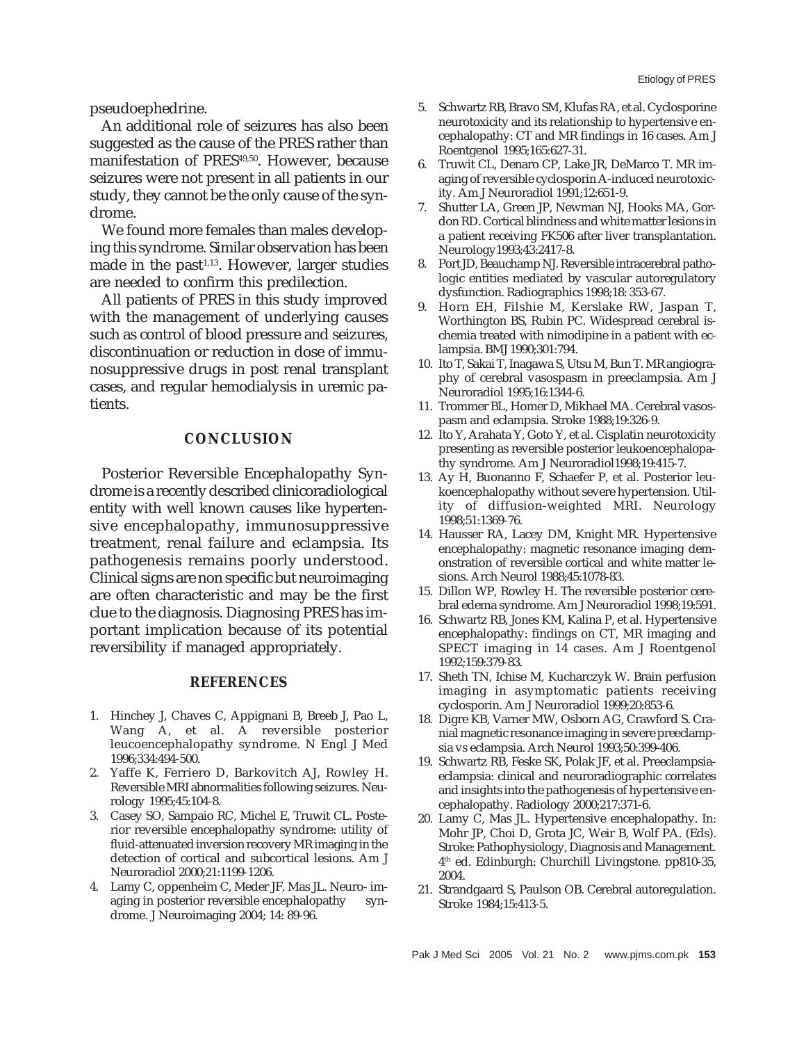pseudoephedrine.

An additional role of seizures has also been suggested as the cause of the PRES rather than manifestation of PRES<sup>49,50</sup>. However, because seizures were not present in all patients in our study, they cannot be the only cause of the syndrome.

We found more females than males developing this syndrome. Similar observation has been made in the past<sup> $1,13$ </sup>. However, larger studies are needed to confirm this predilection.

All patients of PRES in this study improved with the management of underlying causes such as control of blood pressure and seizures, discontinuation or reduction in dose of immunosuppressive drugs in post renal transplant cases, and regular hemodialysis in uremic patients.

#### **CONCLUSION**

Posterior Reversible Encephalopathy Syndrome is a recently described clinicoradiological entity with well known causes like hypertensive encephalopathy, immunosuppressive treatment, renal failure and eclampsia. Its pathogenesis remains poorly understood. Clinical signs are non specific but neuroimaging are often characteristic and may be the first clue to the diagnosis. Diagnosing PRES has important implication because of its potential reversibility if managed appropriately.

#### **REFERENCES**

- 1. Hinchey J, Chaves C, Appignani B, Breeb J, Pao L, Wang A, et al. A reversible posterior leucoencephalopathy syndrome. N Engl J Med 1996;334:494-500.
- 2. Yaffe K, Ferriero D, Barkovitch AJ, Rowley H. Reversible MRI abnormalities following seizures. Neurology 1995;45:104-8.
- 3. Casey SO, Sampaio RC, Michel E, Truwit CL. Posterior reversible encephalopathy syndrome: utility of fluid-attenuated inversion recovery MR imaging in the detection of cortical and subcortical lesions. Am J Neuroradiol 2000;21:1199-1206.
- 4. Lamy C, oppenheim C, Meder JF, Mas JL. Neuro- imaging in posterior reversible encephalopathy syndrome. J Neuroimaging 2004; 14: 89-96.
- 5. Schwartz RB, Bravo SM, Klufas RA, et al. Cyclosporine neurotoxicity and its relationship to hypertensive encephalopathy: CT and MR findings in 16 cases. Am J Roentgenol 1995;165:627-31.
- 6. Truwit CL, Denaro CP, Lake JR, DeMarco T. MR imaging of reversible cyclosporin A-induced neurotoxicity. Am J Neuroradiol 1991;12:651-9.
- 7. Shutter LA, Green JP, Newman NJ, Hooks MA, Gordon RD. Cortical blindness and white matter lesions in a patient receiving FK506 after liver transplantation. Neurology1993;43:2417-8.
- 8. Port JD, Beauchamp NJ. Reversible intracerebral pathologic entities mediated by vascular autoregulatory dysfunction. Radiographics 1998;18: 353-67.
- 9. Horn EH, Filshie M, Kerslake RW, Jaspan T, Worthington BS, Rubin PC. Widespread cerebral ischemia treated with nimodipine in a patient with eclampsia. BMJ 1990;301:794.
- 10. Ito T, Sakai T, Inagawa S, Utsu M, Bun T. MR angiography of cerebral vasospasm in preeclampsia. Am J Neuroradiol 1995;16:1344-6.
- 11. Trommer BL, Homer D, Mikhael MA. Cerebral vasospasm and eclampsia. Stroke 1988;19:326-9.
- 12. Ito Y, Arahata Y, Goto Y, et al. Cisplatin neurotoxicity presenting as reversible posterior leukoencephalopathy syndrome. Am J Neuroradiol1998;19:415-7.
- 13. Ay H, Buonanno F, Schaefer P, et al. Posterior leukoencephalopathy without severe hypertension. Utility of diffusion-weighted MRI. Neurology 1998;51:1369-76.
- 14. Hausser RA, Lacey DM, Knight MR. Hypertensive encephalopathy: magnetic resonance imaging demonstration of reversible cortical and white matter lesions. Arch Neurol 1988;45:1078-83.
- 15. Dillon WP, Rowley H. The reversible posterior cerebral edema syndrome. Am J Neuroradiol 1998;19:591.
- 16. Schwartz RB, Jones KM, Kalina P, et al. Hypertensive encephalopathy: findings on CT, MR imaging and SPECT imaging in 14 cases. Am J Roentgenol 1992;159:379-83.
- 17. Sheth TN, Ichise M, Kucharczyk W. Brain perfusion imaging in asymptomatic patients receiving cyclosporin. Am J Neuroradiol 1999;20:853-6.
- 18. Digre KB, Varner MW, Osborn AG, Crawford S. Cranial magnetic resonance imaging in severe preeclampsia vs eclampsia. Arch Neurol 1993;50:399-406.
- 19. Schwartz RB, Feske SK, Polak JF, et al. Preeclampsiaeclampsia: clinical and neuroradiographic correlates and insights into the pathogenesis of hypertensive encephalopathy. Radiology 2000;217:371-6.
- 20. Lamy C, Mas JL. Hypertensive encephalopathy. In: Mohr JP, Choi D, Grota JC, Weir B, Wolf PA. (Eds). Stroke: Pathophysiology, Diagnosis and Management. 4th ed. Edinburgh: Churchill Livingstone. pp810-35, 2004.
- 21. Strandgaard S, Paulson OB. Cerebral autoregulation. Stroke 1984;15:413-5.